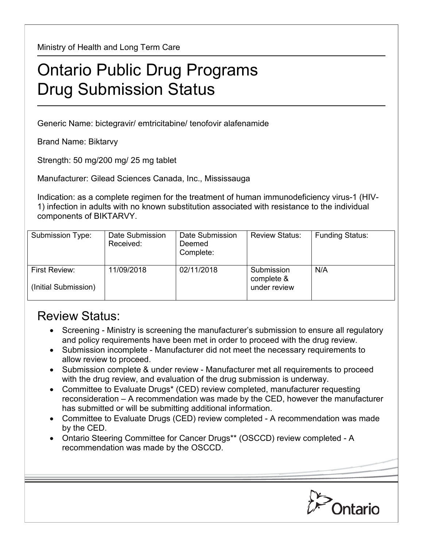Ministry of Health and Long Term Care

## Ontario Public Drug Programs Drug Submission Status

Generic Name: bictegravir/ emtricitabine/ tenofovir alafenamide

Brand Name: Biktarvy

Strength: 50 mg/200 mg/ 25 mg tablet

Manufacturer: Gilead Sciences Canada, Inc., Mississauga

Indication: as a complete regimen for the treatment of human immunodeficiency virus-1 (HIV-1) infection in adults with no known substitution associated with resistance to the individual components of BIKTARVY.

| Submission Type:                      | Date Submission<br>Received: | Date Submission<br>Deemed<br>Complete: | <b>Review Status:</b>                    | <b>Funding Status:</b> |
|---------------------------------------|------------------------------|----------------------------------------|------------------------------------------|------------------------|
| First Review:<br>(Initial Submission) | 11/09/2018                   | 02/11/2018                             | Submission<br>complete &<br>under review | N/A                    |

## Review Status:

- Screening Ministry is screening the manufacturer's submission to ensure all regulatory and policy requirements have been met in order to proceed with the drug review.
- Submission incomplete Manufacturer did not meet the necessary requirements to allow review to proceed.
- Submission complete & under review Manufacturer met all requirements to proceed with the drug review, and evaluation of the drug submission is underway.
- Committee to Evaluate Drugs\* (CED) review completed, manufacturer requesting reconsideration – A recommendation was made by the CED, however the manufacturer has submitted or will be submitting additional information.
- Committee to Evaluate Drugs (CED) review completed A recommendation was made by the CED.
- Ontario Steering Committee for Cancer Drugs\*\* (OSCCD) review completed A recommendation was made by the OSCCD.